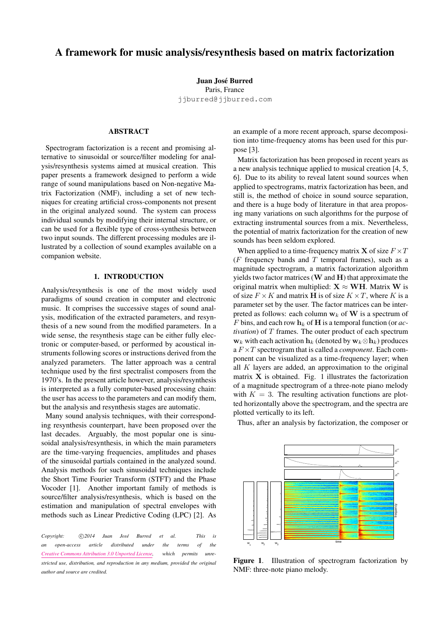# A framework for music analysis/resynthesis based on matrix factorization

Juan José Burred Paris, France [jjburred@jjburred.com](mailto:jjburred@jjburred.com)

# ABSTRACT

Spectrogram factorization is a recent and promising alternative to sinusoidal or source/filter modeling for analysis/resynthesis systems aimed at musical creation. This paper presents a framework designed to perform a wide range of sound manipulations based on Non-negative Matrix Factorization (NMF), including a set of new techniques for creating artificial cross-components not present in the original analyzed sound. The system can process individual sounds by modifying their internal structure, or can be used for a flexible type of cross-synthesis between two input sounds. The different processing modules are illustrated by a collection of sound examples available on a companion website.

# 1. INTRODUCTION

Analysis/resynthesis is one of the most widely used paradigms of sound creation in computer and electronic music. It comprises the successive stages of sound analysis, modification of the extracted parameters, and resynthesis of a new sound from the modified parameters. In a wide sense, the resynthesis stage can be either fully electronic or computer-based, or performed by acoustical instruments following scores or instructions derived from the analyzed parameters. The latter approach was a central technique used by the first spectralist composers from the 1970's. In the present article however, analysis/resynthesis is interpreted as a fully computer-based processing chain: the user has access to the parameters and can modify them, but the analysis and resynthesis stages are automatic.

Many sound analysis techniques, with their corresponding resynthesis counterpart, have been proposed over the last decades. Arguably, the most popular one is sinusoidal analysis/resynthesis, in which the main parameters are the time-varying frequencies, amplitudes and phases of the sinusoidal partials contained in the analyzed sound. Analysis methods for such sinusoidal techniques include the Short Time Fourier Transform (STFT) and the Phase Vocoder [\[1\]](#page-5-0). Another important family of methods is source/filter analysis/resynthesis, which is based on the estimation and manipulation of spectral envelopes with methods such as Linear Predictive Coding (LPC) [\[2\]](#page-5-1). As

*Copyright:*  $\bigcirc$  *(2014 Juan José Burred et al. This is an open-access article distributed under the terms of the [Creative Commons Attribution 3.0 Unported License,](http://creativecommons.org/licenses/by/3.0/) which permits unrestricted use, distribution, and reproduction in any medium, provided the original author and source are credited.*

an example of a more recent approach, sparse decomposition into time-frequency atoms has been used for this purpose [\[3\]](#page-5-2).

Matrix factorization has been proposed in recent years as a new analysis technique applied to musical creation [\[4,](#page-5-3) [5,](#page-5-4) [6\]](#page-5-5). Due to its ability to reveal latent sound sources when applied to spectrograms, matrix factorization has been, and still is, the method of choice in sound source separation, and there is a huge body of literature in that area proposing many variations on such algorithms for the purpose of extracting instrumental sources from a mix. Nevertheless, the potential of matrix factorization for the creation of new sounds has been seldom explored.

When applied to a time-frequency matrix **X** of size  $F \times T$ ( $F$  frequency bands and  $T$  temporal frames), such as a magnitude spectrogram, a matrix factorization algorithm yields two factor matrices  $(W \text{ and } H)$  that approximate the original matrix when multiplied:  $X \approx WH$ . Matrix W is of size  $F \times K$  and matrix **H** is of size  $K \times T$ , where K is a parameter set by the user. The factor matrices can be interpreted as follows: each column  $w_k$  of W is a spectrum of F bins, and each row  $h_k$  of H is a temporal function (or  $ac$ *tivation*) of T frames. The outer product of each spectrum  $\mathbf{w}_k$  with each activation  $\mathbf{h}_k$  (denoted by  $\mathbf{w}_k \otimes \mathbf{h}_k$ ) produces a F ×T spectrogram that is called a *component*. Each component can be visualized as a time-frequency layer; when all  $K$  layers are added, an approximation to the original matrix  $X$  is obtained. Fig. [1](#page-0-0) illustrates the factorization of a magnitude spectrogram of a three-note piano melody with  $K = 3$ . The resulting activation functions are plotted horizontally above the spectrogram, and the spectra are plotted vertically to its left.

<span id="page-0-0"></span>

Thus, after an analysis by factorization, the composer or

Figure 1. Illustration of spectrogram factorization by NMF: three-note piano melody.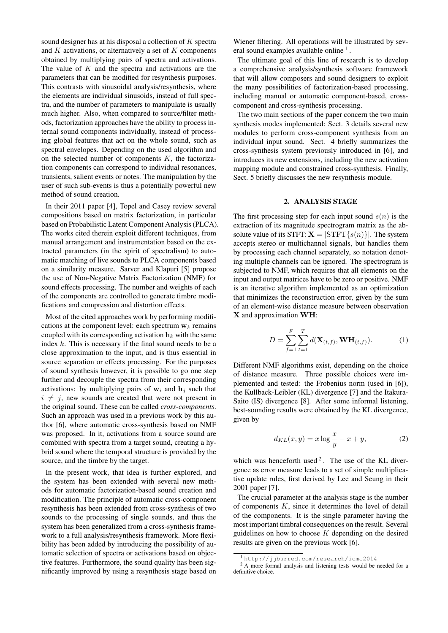sound designer has at his disposal a collection of  $K$  spectra and  $K$  activations, or alternatively a set of  $K$  components obtained by multiplying pairs of spectra and activations. The value of  $K$  and the spectra and activations are the parameters that can be modified for resynthesis purposes. This contrasts with sinusoidal analysis/resynthesis, where the elements are individual sinusoids, instead of full spectra, and the number of parameters to manipulate is usually much higher. Also, when compared to source/filter methods, factorization approaches have the ability to process internal sound components individually, instead of processing global features that act on the whole sound, such as spectral envelopes. Depending on the used algorithm and on the selected number of components  $K$ , the factorization components can correspond to individual resonances, transients, salient events or notes. The manipulation by the user of such sub-events is thus a potentially powerful new method of sound creation.

In their 2011 paper [\[4\]](#page-5-3), Topel and Casey review several compositions based on matrix factorization, in particular based on Probabilistic Latent Component Analysis (PLCA). The works cited therein exploit different techniques, from manual arrangement and instrumentation based on the extracted parameters (in the spirit of spectralism) to automatic matching of live sounds to PLCA components based on a similarity measure. Sarver and Klapuri [\[5\]](#page-5-4) propose the use of Non-Negative Matrix Factorization (NMF) for sound effects processing. The number and weights of each of the components are controlled to generate timbre modifications and compression and distortion effects.

Most of the cited approaches work by performing modifications at the component level: each spectrum  $w_k$  remains coupled with its corresponding activation  $h_k$  with the same index  $k$ . This is necessary if the final sound needs to be a close approximation to the input, and is thus essential in source separation or effects processing. For the purposes of sound synthesis however, it is possible to go one step further and decouple the spectra from their corresponding activations: by multiplying pairs of  $w_i$  and  $h_j$  such that  $i \neq j$ , new sounds are created that were not present in the original sound. These can be called *cross-components*. Such an approach was used in a previous work by this author [\[6\]](#page-5-5), where automatic cross-synthesis based on NMF was proposed. In it, activations from a source sound are combined with spectra from a target sound, creating a hybrid sound where the temporal structure is provided by the source, and the timbre by the target.

In the present work, that idea is further explored, and the system has been extended with several new methods for automatic factorization-based sound creation and modification. The principle of automatic cross-component resynthesis has been extended from cross-synthesis of two sounds to the processing of single sounds, and thus the system has been generalized from a cross-synthesis framework to a full analysis/resynthesis framework. More flexibility has been added by introducing the possibility of automatic selection of spectra or activations based on objective features. Furthermore, the sound quality has been significantly improved by using a resynthesis stage based on Wiener filtering. All operations will be illustrated by sev-eral sound examples available online<sup>[1](#page-1-0)</sup>.

The ultimate goal of this line of research is to develop a comprehensive analysis/synthesis software framework that will allow composers and sound designers to exploit the many possibilities of factorization-based processing, including manual or automatic component-based, crosscomponent and cross-synthesis processing.

The two main sections of the paper concern the two main synthesis modes implemented: Sect. [3](#page-2-0) details several new modules to perform cross-component synthesis from an individual input sound. Sect. [4](#page-3-0) briefly summarizes the cross-synthesis system previously introduced in [\[6\]](#page-5-5), and introduces its new extensions, including the new activation mapping module and constrained cross-synthesis. Finally, Sect. [5](#page-4-0) briefly discusses the new resynthesis module.

## 2. ANALYSIS STAGE

The first processing step for each input sound  $s(n)$  is the extraction of its magnitude spectrogram matrix as the absolute value of its STFT:  $X = |SIFT\{s(n)\}|$ . The system accepts stereo or multichannel signals, but handles them by processing each channel separately, so notation denoting multiple channels can be ignored. The spectrogram is subjected to NMF, which requires that all elements on the input and output matrices have to be zero or positive. NMF is an iterative algorithm implemented as an optimization that minimizes the reconstruction error, given by the sum of an element-wise distance measure between observation X and approximation WH:

$$
D = \sum_{f=1}^{F} \sum_{t=1}^{T} d(\mathbf{X}_{(t,f)}, \mathbf{W} \mathbf{H}_{(t,f)}).
$$
 (1)

Different NMF algorithms exist, depending on the choice of distance measure. Three possible choices were implemented and tested: the Frobenius norm (used in [\[6\]](#page-5-5)), the Kullback-Leibler (KL) divergence [\[7\]](#page-5-6) and the Itakura-Saito (IS) divergence [\[8\]](#page-5-7). After some informal listening, best-sounding results were obtained by the KL divergence, given by

$$
d_{KL}(x,y) = x \log \frac{x}{y} - x + y,\tag{2}
$$

which was henceforth used<sup>[2](#page-1-1)</sup>. The use of the KL divergence as error measure leads to a set of simple multiplicative update rules, first derived by Lee and Seung in their 2001 paper [\[7\]](#page-5-6).

The crucial parameter at the analysis stage is the number of components  $K$ , since it determines the level of detail of the components. It is the single parameter having the most important timbral consequences on the result. Several guidelines on how to choose  $K$  depending on the desired results are given on the previous work [\[6\]](#page-5-5).

<span id="page-1-1"></span><span id="page-1-0"></span><sup>1</sup> <http://jjburred.com/research/icmc2014>

<sup>&</sup>lt;sup>2</sup> A more formal analysis and listening tests would be needed for a definitive choice.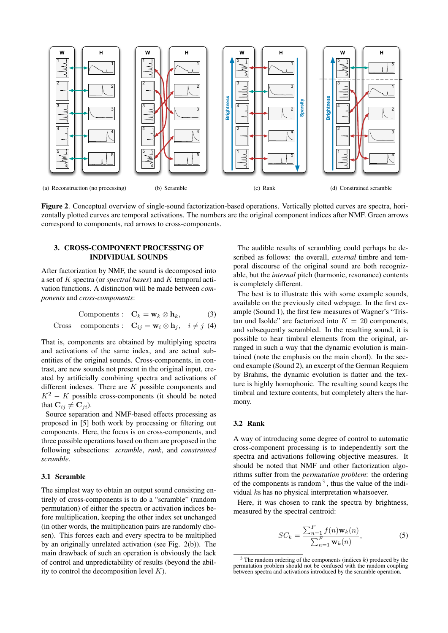

<span id="page-2-7"></span><span id="page-2-1"></span>Figure 2. Conceptual overview of single-sound factorization-based operations. Vertically plotted curves are spectra, horizontally plotted curves are temporal activations. The numbers are the original component indices after NMF. Green arrows correspond to components, red arrows to cross-components.

# <span id="page-2-0"></span>3. CROSS-COMPONENT PROCESSING OF INDIVIDUAL SOUNDS

After factorization by NMF, the sound is decomposed into a set of K spectra (or *spectral bases*) and K temporal activation functions. A distinction will be made between *components* and *cross-components*:

$$
Components: \quad \mathbf{C}_k = \mathbf{w}_k \otimes \mathbf{h}_k,\tag{3}
$$

Cross – components: 
$$
\mathbf{C}_{ij} = \mathbf{w}_i \otimes \mathbf{h}_j
$$
,  $i \neq j$  (4)

That is, components are obtained by multiplying spectra and activations of the same index, and are actual subentities of the original sounds. Cross-components, in contrast, are new sounds not present in the original input, created by artificially combining spectra and activations of different indexes. There are  $K$  possible components and  $K^2 - K$  possible cross-components (it should be noted that  $\mathbf{C}_{ij} \neq \mathbf{C}_{ji}$ ).

Source separation and NMF-based effects processing as proposed in [\[5\]](#page-5-4) both work by processing or filtering out components. Here, the focus is on cross-components, and three possible operations based on them are proposed in the following subsections: *scramble*, *rank*, and *constrained scramble*.

## 3.1 Scramble

The simplest way to obtain an output sound consisting entirely of cross-components is to do a "scramble" (random permutation) of either the spectra or activation indices before multiplication, keeping the other index set unchanged (in other words, the multiplication pairs are randomly chosen). This forces each and every spectra to be multiplied by an originally unrelated activation (see Fig. [2\(b\)\)](#page-2-1). The main drawback of such an operation is obviously the lack of control and unpredictability of results (beyond the ability to control the decomposition level  $K$ ).

<span id="page-2-5"></span><span id="page-2-3"></span>The audible results of scrambling could perhaps be described as follows: the overall, *external* timbre and temporal discourse of the original sound are both recognizable, but the *internal* pitch (harmonic, resonance) contents is completely different.

The best is to illustrate this with some example sounds, available on the previously cited webpage. In the first example (Sound 1), the first few measures of Wagner's "Tristan und Isolde" are factorized into  $K = 20$  components, and subsequently scrambled. In the resulting sound, it is possible to hear timbral elements from the original, arranged in such a way that the dynamic evolution is maintained (note the emphasis on the main chord). In the second example (Sound 2), an excerpt of the German Requiem by Brahms, the dynamic evolution is flatter and the texture is highly homophonic. The resulting sound keeps the timbral and texture contents, but completely alters the harmony.

## <span id="page-2-6"></span>3.2 Rank

A way of introducing some degree of control to automatic cross-component processing is to independently sort the spectra and activations following objective measures. It should be noted that NMF and other factorization algorithms suffer from the *permutation problem*: the ordering of the components is random  $3$ , thus the value of the individual ks has no physical interpretation whatsoever.

Here, it was chosen to rank the spectra by brightness, measured by the spectral centroid:

<span id="page-2-4"></span>
$$
SC_k = \frac{\sum_{n=1}^{F} f(n) \mathbf{w}_k(n)}{\sum_{n=1}^{F} \mathbf{w}_k(n)},
$$
\n(5)

<span id="page-2-2"></span> $3$  The random ordering of the components (indices  $k$ ) produced by the permutation problem should not be confused with the random coupling between spectra and activations introduced by the scramble operation.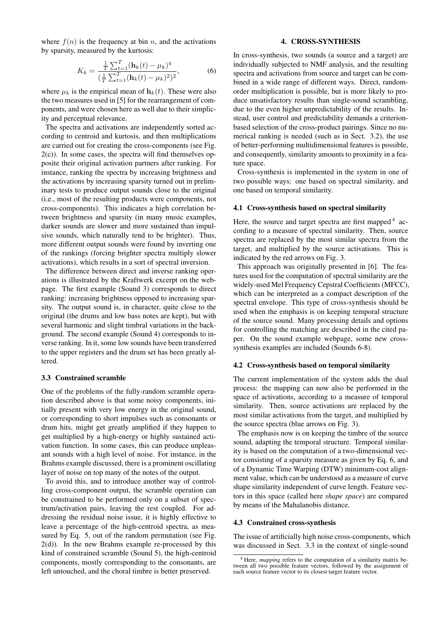where  $f(n)$  is the frequency at bin n, and the activations by sparsity, measured by the kurtosis:

<span id="page-3-2"></span>
$$
K_k = \frac{\frac{1}{T} \sum_{t=1}^{T} (\mathbf{h}_k(t) - \mu_k)^4}{(\frac{1}{T} \sum_{t=1}^{T} (\mathbf{h}_k(t) - \mu_k)^2)^2},
$$
(6)

where  $\mu_k$  is the empirical mean of  $\mathbf{h}_k(t)$ . These were also the two measures used in [\[5\]](#page-5-4) for the rearrangement of components, and were chosen here as well due to their simplicity and perceptual relevance.

The spectra and activations are independently sorted according to centroid and kurtosis, and then multiplications are carried out for creating the cross-components (see Fig.  $2(c)$ ). In some cases, the spectra will find themselves opposite their original activation partners after ranking. For instance, ranking the spectra by increasing brightness and the activations by increasing sparsity turned out in preliminary tests to produce output sounds close to the original (i.e., most of the resulting products were components, not cross-components). This indicates a high correlation between brightness and sparsity (in many music examples, darker sounds are slower and more sustained than impulsive sounds, which naturally tend to be brighter). Thus, more different output sounds were found by inverting one of the rankings (forcing brighter spectra multiply slower activations), which results in a sort of spectral inversion.

The difference between direct and inverse ranking operations is illustrated by the Kraftwerk excerpt on the webpage. The first example (Sound 3) corresponds to direct ranking: increasing brightness opposed to increasing sparsity. The output sound is, in character, quite close to the original (the drums and low bass notes are kept), but with several harmonic and slight timbral variations in the background. The second example (Sound 4) corresponds to inverse ranking. In it, some low sounds have been transferred to the upper registers and the drum set has been greatly altered.

#### <span id="page-3-3"></span>3.3 Constrained scramble

One of the problems of the fully-random scramble operation described above is that some noisy components, initially present with very low energy in the original sound, or corresponding to short impulses such as consonants or drum hits, might get greatly amplified if they happen to get multiplied by a high-energy or highly sustained activation function. In some cases, this can produce unpleasant sounds with a high level of noise. For instance, in the Brahms example discussed, there is a prominent oscillating layer of noise on top many of the notes of the output.

To avoid this, and to introduce another way of controlling cross-component output, the scramble operation can be constrained to be performed only on a subset of spectrum/activation pairs, leaving the rest coupled. For addressing the residual noise issue, it is highly effective to leave a percentage of the high-centroid spectra, as measured by Eq. [5,](#page-2-4) out of the random permutation (see Fig.  $2(d)$ ). In the new Brahms example re-processed by this kind of constrained scramble (Sound 5), the high-centroid components, mostly corresponding to the consonants, are left untouched, and the choral timbre is better preserved.

## 4. CROSS-SYNTHESIS

<span id="page-3-0"></span>In cross-synthesis, two sounds (a source and a target) are individually subjected to NMF analysis, and the resulting spectra and activations from source and target can be combined in a wide range of different ways. Direct, randomorder multiplication is possible, but is more likely to produce unsatisfactory results than single-sound scrambling, due to the even higher unpredictability of the results. Instead, user control and predictability demands a criterionbased selection of the cross-product pairings. Since no numerical ranking is needed (such as in Sect. [3.2\)](#page-2-6), the use of better-performing multidimensional features is possible, and consequently, similarity amounts to proximity in a feature space.

Cross-synthesis is implemented in the system in one of two possible ways: one based on spectral similarity, and one based on temporal similarity.

## 4.1 Cross-synthesis based on spectral similarity

Here, the source and target spectra are first mapped<sup>[4](#page-3-1)</sup> according to a measure of spectral similarity. Then, source spectra are replaced by the most similar spectra from the target, and multiplied by the source activations. This is indicated by the red arrows on Fig. [3.](#page-4-1)

This approach was originally presented in [\[6\]](#page-5-5). The features used for the computation of spectral similarity are the widely-used Mel Frequency Cepstral Coefficients (MFCC), which can be interpreted as a compact description of the spectral envelope. This type of cross-synthesis should be used when the emphasis is on keeping temporal structure of the source sound. Many processing details and options for controlling the matching are described in the cited paper. On the sound example webpage, some new crosssynthesis examples are included (Sounds 6-8).

## 4.2 Cross-synthesis based on temporal similarity

The current implementation of the system adds the dual process: the mapping can now also be performed in the space of activations, according to a measure of temporal similarity. Then, source activations are replaced by the most similar activations from the target, and multiplied by the source spectra (blue arrows on Fig. [3\)](#page-4-1).

The emphasis now is on keeping the timbre of the source sound, adapting the temporal structure. Temporal similarity is based on the computation of a two-dimensional vector consisting of a sparsity measure as given by Eq. [6,](#page-3-2) and of a Dynamic Time Warping (DTW) minimum-cost alignment value, which can be understood as a measure of curve shape similarity independent of curve length. Feature vectors in this space (called here *shape space*) are compared by means of the Mahalanobis distance.

#### 4.3 Constrained cross-synthesis

The issue of artificially high noise cross-components, which was discussed in Sect. [3.3](#page-3-3) in the context of single-sound

<span id="page-3-1"></span><sup>&</sup>lt;sup>4</sup> Here, *mapping* refers to the computation of a similarity matrix be-<br>tween all two possible feature vectors, followed by the assignment of each source feature vector to its closest target feature vector.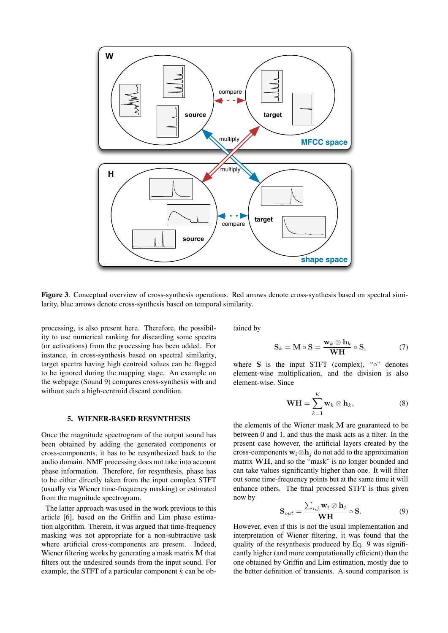

<span id="page-4-1"></span>Figure 3. Conceptual overview of cross-synthesis operations. Red arrows denote cross-synthesis based on spectral similarity, blue arrows denote cross-synthesis based on temporal similarity.

processing, is also present here. Therefore, the possibility to use numerical ranking for discarding some spectra (or activations) from the processing has been added. For instance, in cross-synthesis based on spectral similarity, target spectra having high centroid values can be flagged to be ignored during the mapping stage. An example on the webpage (Sound 9) compares cross-synthesis with and without such a high-centroid discard condition.

# 5. WIENER-BASED RESYNTHESIS

<span id="page-4-0"></span>Once the magnitude spectrogram of the output sound has been obtained by adding the generated components or cross-components, it has to be resynthesized back to the audio domain. NMF processing does not take into account phase information. Therefore, for resynthesis, phase has to be either directly taken from the input complex STFT (usually via Wiener time-frequency masking) or estimated from the magnitude spectrogram.

The latter approach was used in the work previous to this article [\[6\]](#page-5-5), based on the Griffin and Lim phase estimation algorithm. Therein, it was argued that time-frequency masking was not appropriate for a non-subtractive task where artificial cross-components are present. Indeed, Wiener filtering works by generating a mask matrix M that filters out the undesired sounds from the input sound. For example, the STFT of a particular component  $k$  can be obtained by

$$
\mathbf{S}_k = \mathbf{M} \circ \mathbf{S} = \frac{\mathbf{w}_k \otimes \mathbf{h}_k}{\mathbf{W}\mathbf{H}} \circ \mathbf{S},\tag{7}
$$

where  $S$  is the input STFT (complex), " $\circ$ " denotes element-wise multiplication, and the division is also element-wise. Since

$$
\mathbf{WH} = \sum_{k=1}^{K} \mathbf{w}_k \otimes \mathbf{h}_k, \tag{8}
$$

the elements of the Wiener mask M are guaranteed to be between 0 and 1, and thus the mask acts as a filter. In the present case however, the artificial layers created by the cross-components  $w_i \otimes h_j$  do not add to the approximation matrix WH, and so the "mask" is no longer bounded and can take values significantly higher than one. It will filter out some time-frequency points but at the same time it will enhance others. The final processed STFT is thus given now by

<span id="page-4-2"></span>
$$
\mathbf{S}_{out} = \frac{\sum_{i,j} \mathbf{w}_i \otimes \mathbf{h}_j}{\mathbf{W} \mathbf{H}} \circ \mathbf{S}.
$$
 (9)

However, even if this is not the usual implementation and interpretation of Wiener filtering, it was found that the quality of the resynthesis produced by Eq. [9](#page-4-2) was significantly higher (and more computationally efficient) than the one obtained by Griffin and Lim estimation, mostly due to the better definition of transients. A sound comparison is